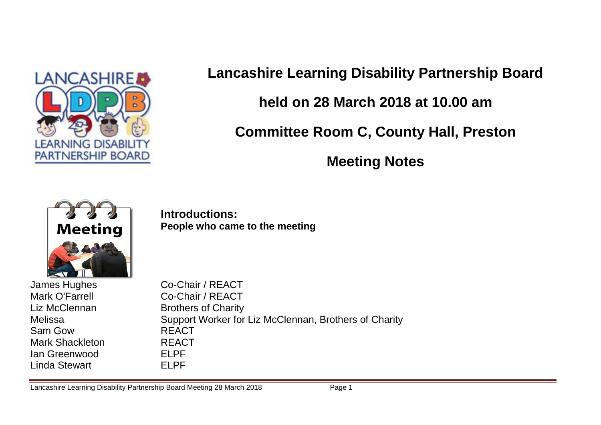

# **Lancashire Learning Disability Partnership Board held on 28 March 2018 at 10.00 am Committee Room C, County Hall, Preston Meeting Notes**



**Introductions: People who came to the meeting**

James Hughes Co-Chair / REACT Sam Gow REACT Mark Shackleton REACT Ian Greenwood ELPF Linda Stewart FLPF

Mark O'Farrell Co-Chair / REACT Liz McClennan Brothers of Charity Melissa **Support Worker for Liz McClennan, Brothers of Charity** 

Lancashire Learning Disability Partnership Board Meeting 28 March 2018 **Page 1**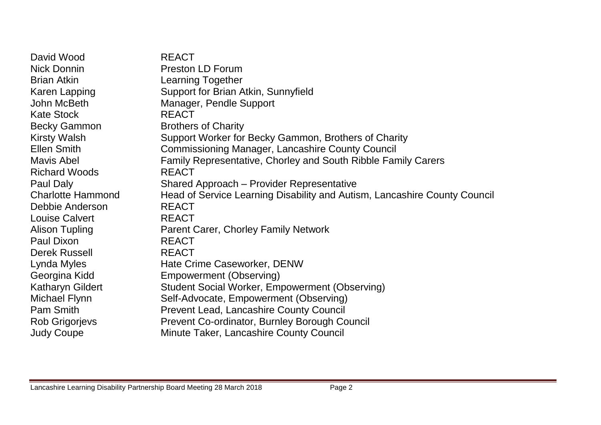David Wood REACT Nick Donnin Preston LD Forum Brian Atkin Learning Together Karen Lapping Support for Brian Atkin, Sunnyfield John McBeth Manager, Pendle Support Kate Stock REACT Becky Gammon Brothers of Charity Kirsty Walsh Support Worker for Becky Gammon, Brothers of Charity Ellen Smith Commissioning Manager, Lancashire County Council Mavis Abel Family Representative, Chorley and South Ribble Family Carers Richard Woods REACT Paul Daly Shared Approach – Provider Representative Charlotte Hammond Head of Service Learning Disability and Autism, Lancashire County Council Debbie Anderson REACT Louise Calvert REACT Alison Tupling Parent Carer, Chorley Family Network Paul Dixon REACT Derek Russell REACT Lynda Myles **Hate Crime Caseworker, DENW** Georgina Kidd Empowerment (Observing) Katharyn Gildert Student Social Worker, Empowerment (Observing) Michael Flynn Self-Advocate, Empowerment (Observing) Pam Smith Prevent Lead, Lancashire County Council Rob Grigorjevs Prevent Co-ordinator, Burnley Borough Council Judy Coupe Minute Taker, Lancashire County Council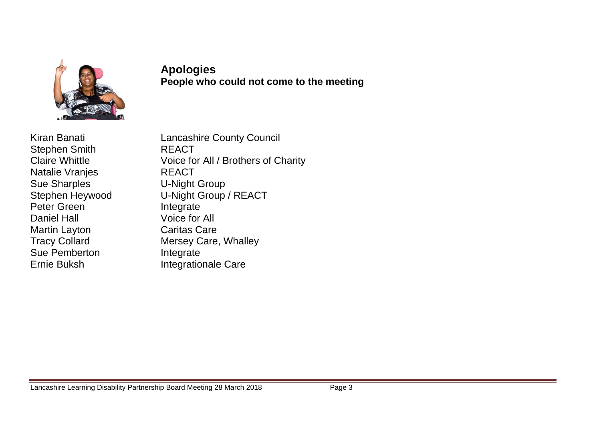

#### **Apologies People who could not come to the meeting**

Stephen Smith REACT Natalie Vranjes **REACT** Sue Sharples **U-Night Group** Peter Green Integrate Daniel Hall Voice for All Martin Layton Caritas Care Sue Pemberton **Integrate** Ernie Buksh Integrationale Care

Kiran Banati **Lancashire County Council** Claire Whittle Voice for All / Brothers of Charity Stephen Heywood U-Night Group / REACT Tracy Collard Mersey Care, Whalley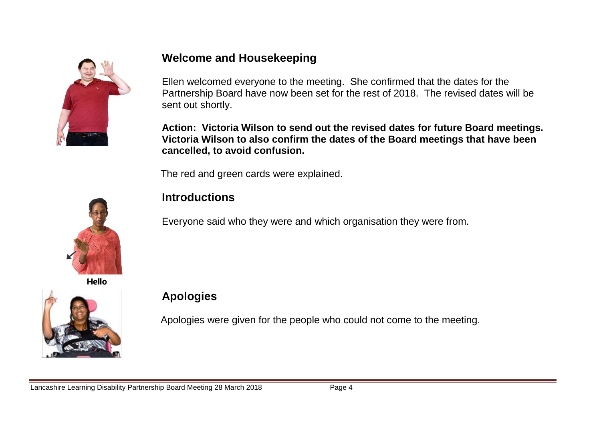

## **Welcome and Housekeeping**

Ellen welcomed everyone to the meeting. She confirmed that the dates for the Partnership Board have now been set for the rest of 2018. The revised dates will be sent out shortly.

**Action: Victoria Wilson to send out the revised dates for future Board meetings. Victoria Wilson to also confirm the dates of the Board meetings that have been cancelled, to avoid confusion.**

The red and green cards were explained.



**Introductions**

Everyone said who they were and which organisation they were from.

Hello



## **Apologies**

Apologies were given for the people who could not come to the meeting.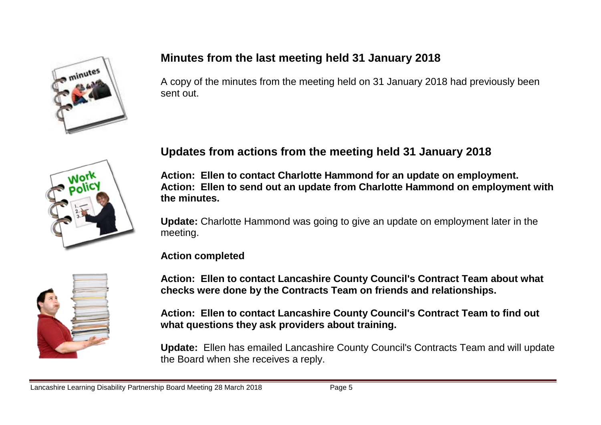

## **Minutes from the last meeting held 31 January 2018**

A copy of the minutes from the meeting held on 31 January 2018 had previously been sent out.



## **Updates from actions from the meeting held 31 January 2018**

**Action: Ellen to contact Charlotte Hammond for an update on employment. Action: Ellen to send out an update from Charlotte Hammond on employment with the minutes.** 

**Update:** Charlotte Hammond was going to give an update on employment later in the meeting.

#### **Action completed**

**Action: Ellen to contact Lancashire County Council's Contract Team about what checks were done by the Contracts Team on friends and relationships.** 

**Action: Ellen to contact Lancashire County Council's Contract Team to find out what questions they ask providers about training.**

**Update:** Ellen has emailed Lancashire County Council's Contracts Team and will update the Board when she receives a reply.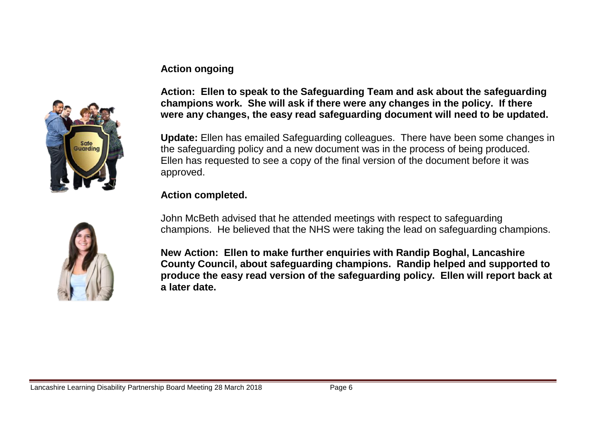#### **Action ongoing**



**Action: Ellen to speak to the Safeguarding Team and ask about the safeguarding champions work. She will ask if there were any changes in the policy. If there were any changes, the easy read safeguarding document will need to be updated.** 

**Update:** Ellen has emailed Safeguarding colleagues. There have been some changes in the safeguarding policy and a new document was in the process of being produced. Ellen has requested to see a copy of the final version of the document before it was approved.

#### **Action completed.**

John McBeth advised that he attended meetings with respect to safeguarding champions. He believed that the NHS were taking the lead on safeguarding champions.

**New Action: Ellen to make further enquiries with Randip Boghal, Lancashire County Council, about safeguarding champions. Randip helped and supported to produce the easy read version of the safeguarding policy. Ellen will report back at a later date.**

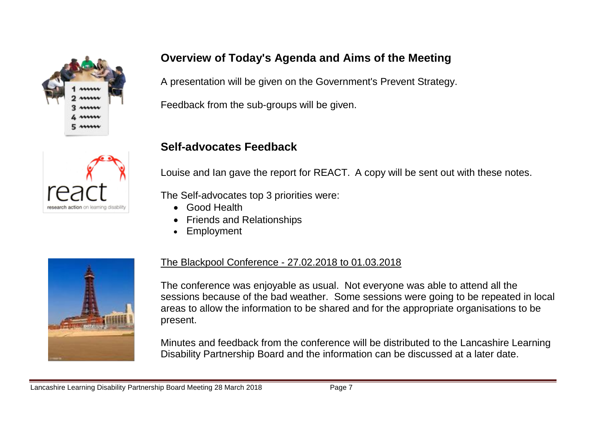



## **Overview of Today's Agenda and Aims of the Meeting**

A presentation will be given on the Government's Prevent Strategy.

Feedback from the sub-groups will be given.

#### **Self-advocates Feedback**

Louise and Ian gave the report for REACT. A copy will be sent out with these notes.

The Self-advocates top 3 priorities were:

- Good Health
- Friends and Relationships
- Employment



#### The Blackpool Conference - 27.02.2018 to 01.03.2018

The conference was enjoyable as usual. Not everyone was able to attend all the sessions because of the bad weather. Some sessions were going to be repeated in local areas to allow the information to be shared and for the appropriate organisations to be present.

Minutes and feedback from the conference will be distributed to the Lancashire Learning Disability Partnership Board and the information can be discussed at a later date.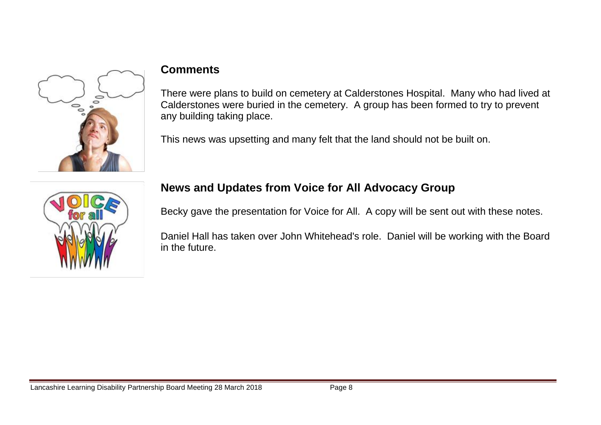

#### **Comments**

There were plans to build on cemetery at Calderstones Hospital. Many who had lived at Calderstones were buried in the cemetery. A group has been formed to try to prevent any building taking place.

This news was upsetting and many felt that the land should not be built on.



## **News and Updates from Voice for All Advocacy Group**

Becky gave the presentation for Voice for All. A copy will be sent out with these notes.

Daniel Hall has taken over John Whitehead's role. Daniel will be working with the Board in the future.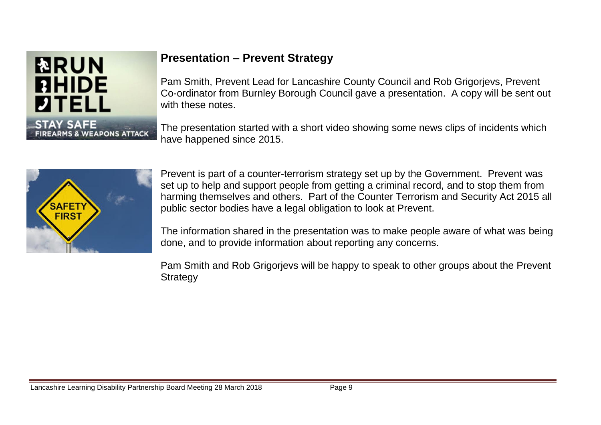

## **Presentation – Prevent Strategy**

Pam Smith, Prevent Lead for Lancashire County Council and Rob Grigorjevs, Prevent Co-ordinator from Burnley Borough Council gave a presentation. A copy will be sent out with these notes.

The presentation started with a short video showing some news clips of incidents which have happened since 2015.



Prevent is part of a counter-terrorism strategy set up by the Government. Prevent was set up to help and support people from getting a criminal record, and to stop them from harming themselves and others. Part of the Counter Terrorism and Security Act 2015 all public sector bodies have a legal obligation to look at Prevent.

The information shared in the presentation was to make people aware of what was being done, and to provide information about reporting any concerns.

Pam Smith and Rob Grigorjevs will be happy to speak to other groups about the Prevent **Strategy**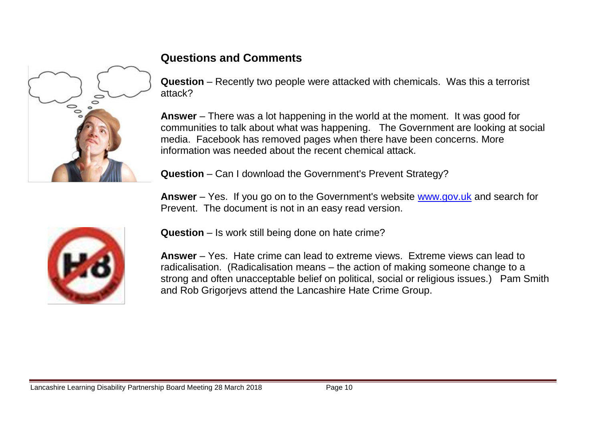

## **Questions and Comments**

**Question** – Recently two people were attacked with chemicals. Was this a terrorist attack?

**Answer** – There was a lot happening in the world at the moment. It was good for communities to talk about what was happening. The Government are looking at social media. Facebook has removed pages when there have been concerns. More information was needed about the recent chemical attack.

**Question** – Can I download the Government's Prevent Strategy?

**Answer** – Yes. If you go on to the Government's website [www.gov.uk](http://www.gov.uk/) and search for Prevent. The document is not in an easy read version.



**Question** – Is work still being done on hate crime?

**Answer** – Yes. Hate crime can lead to extreme views. Extreme views can lead to radicalisation. (Radicalisation means – the action of making someone change to a strong and often unacceptable belief on political, social or religious issues.) Pam Smith and Rob Grigorjevs attend the Lancashire Hate Crime Group.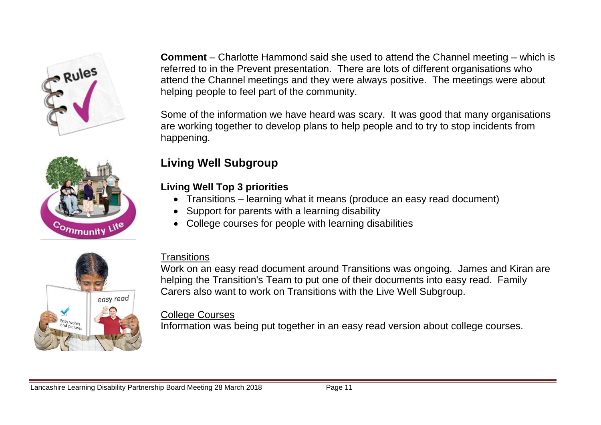



#### **Comment** – Charlotte Hammond said she used to attend the Channel meeting – which is referred to in the Prevent presentation. There are lots of different organisations who attend the Channel meetings and they were always positive. The meetings were about helping people to feel part of the community.

Some of the information we have heard was scary. It was good that many organisations are working together to develop plans to help people and to try to stop incidents from happening.

# **Living Well Subgroup**

#### **Living Well Top 3 priorities**

- Transitions learning what it means (produce an easy read document)
- Support for parents with a learning disability
- College courses for people with learning disabilities



## **Transitions**

Work on an easy read document around Transitions was ongoing. James and Kiran are helping the Transition's Team to put one of their documents into easy read. Family Carers also want to work on Transitions with the Live Well Subgroup.

#### College Courses

Information was being put together in an easy read version about college courses.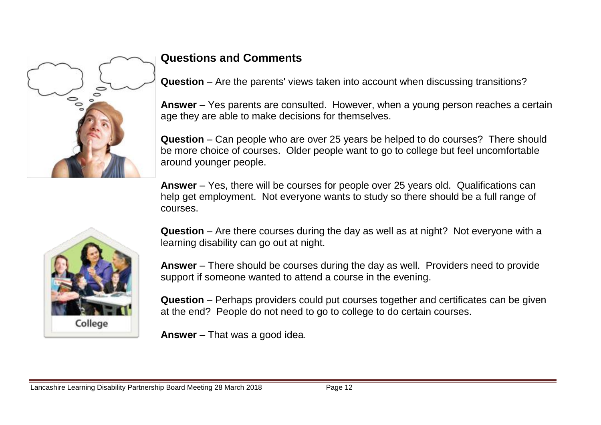

## **Questions and Comments**

**Question** – Are the parents' views taken into account when discussing transitions?

**Answer** – Yes parents are consulted. However, when a young person reaches a certain age they are able to make decisions for themselves.

**Question** – Can people who are over 25 years be helped to do courses? There should be more choice of courses. Older people want to go to college but feel uncomfortable around younger people.

**Answer** – Yes, there will be courses for people over 25 years old. Qualifications can help get employment. Not everyone wants to study so there should be a full range of courses.



**Question** – Are there courses during the day as well as at night? Not everyone with a learning disability can go out at night.

**Answer** – There should be courses during the day as well. Providers need to provide support if someone wanted to attend a course in the evening.

**Question** – Perhaps providers could put courses together and certificates can be given at the end? People do not need to go to college to do certain courses.

**Answer** – That was a good idea.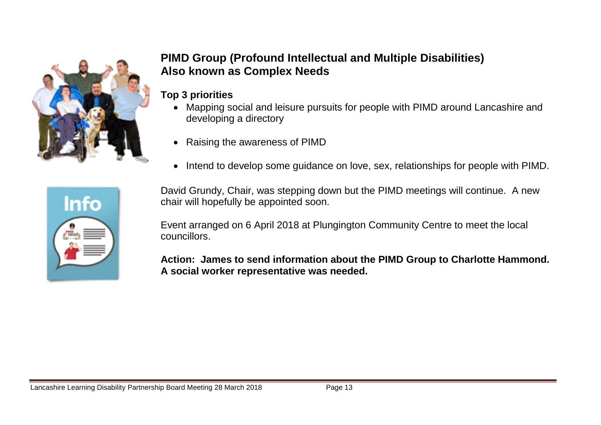

## **PIMD Group (Profound Intellectual and Multiple Disabilities) Also known as Complex Needs**

#### **Top 3 priorities**

- Mapping social and leisure pursuits for people with PIMD around Lancashire and developing a directory
- Raising the awareness of PIMD
- Intend to develop some quidance on love, sex, relationships for people with PIMD.

David Grundy, Chair, was stepping down but the PIMD meetings will continue. A new chair will hopefully be appointed soon.

Event arranged on 6 April 2018 at Plungington Community Centre to meet the local councillors.

**Action: James to send information about the PIMD Group to Charlotte Hammond. A social worker representative was needed.**

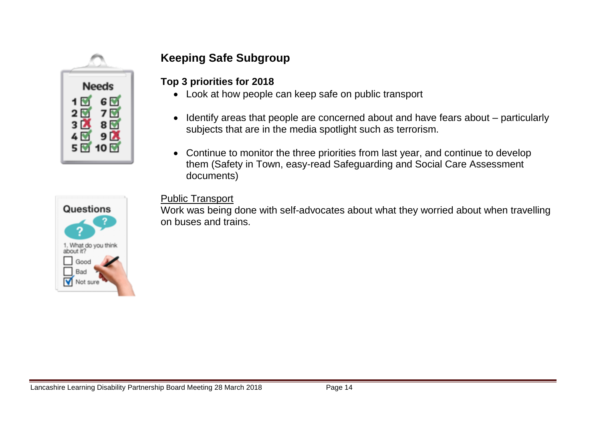

## **Keeping Safe Subgroup**

**Top 3 priorities for 2018**

- Look at how people can keep safe on public transport
- Identify areas that people are concerned about and have fears about particularly subjects that are in the media spotlight such as terrorism.
- Continue to monitor the three priorities from last year, and continue to develop them (Safety in Town, easy-read Safeguarding and Social Care Assessment documents)



#### Public Transport

Work was being done with self-advocates about what they worried about when travelling on buses and trains.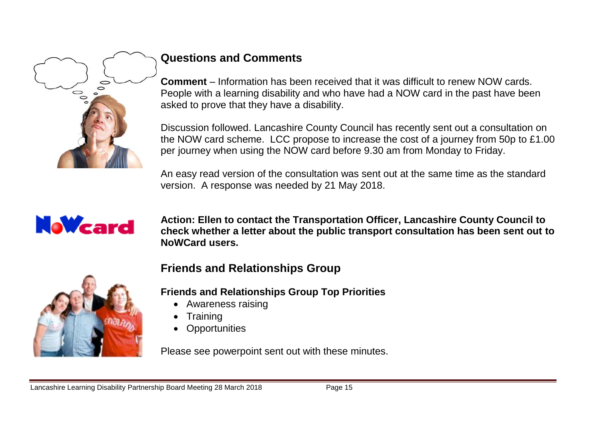

## **Questions and Comments**

**Comment** – Information has been received that it was difficult to renew NOW cards. People with a learning disability and who have had a NOW card in the past have been asked to prove that they have a disability.

Discussion followed. Lancashire County Council has recently sent out a consultation on the NOW card scheme. LCC propose to increase the cost of a journey from 50p to £1.00 per journey when using the NOW card before 9.30 am from Monday to Friday.

An easy read version of the consultation was sent out at the same time as the standard version. A response was needed by 21 May 2018.



**Action: Ellen to contact the Transportation Officer, Lancashire County Council to check whether a letter about the public transport consultation has been sent out to NoWCard users.** 



## **Friends and Relationships Group**

**Friends and Relationships Group Top Priorities**

- Awareness raising
- **Training**
- **Opportunities**

Please see powerpoint sent out with these minutes.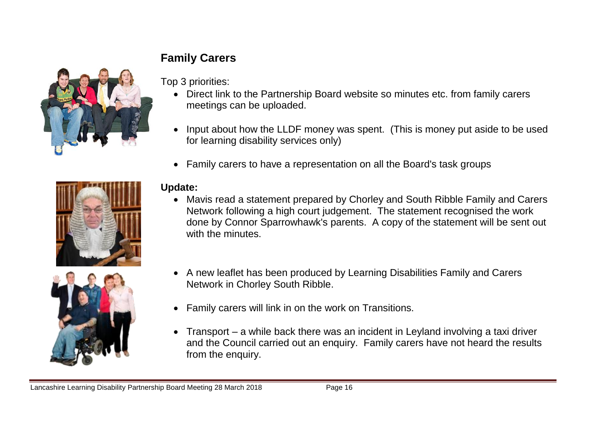# **Family Carers**



Top 3 priorities:

- Direct link to the Partnership Board website so minutes etc. from family carers meetings can be uploaded.
- Input about how the LLDF money was spent. (This is money put aside to be used for learning disability services only)
- Family carers to have a representation on all the Board's task groups





#### **Update:**

- Mavis read a statement prepared by Chorley and South Ribble Family and Carers Network following a high court judgement. The statement recognised the work done by Connor Sparrowhawk's parents. A copy of the statement will be sent out with the minutes.
- A new leaflet has been produced by Learning Disabilities Family and Carers Network in Chorley South Ribble.
- Family carers will link in on the work on Transitions.
- Transport a while back there was an incident in Leyland involving a taxi driver and the Council carried out an enquiry. Family carers have not heard the results from the enquiry.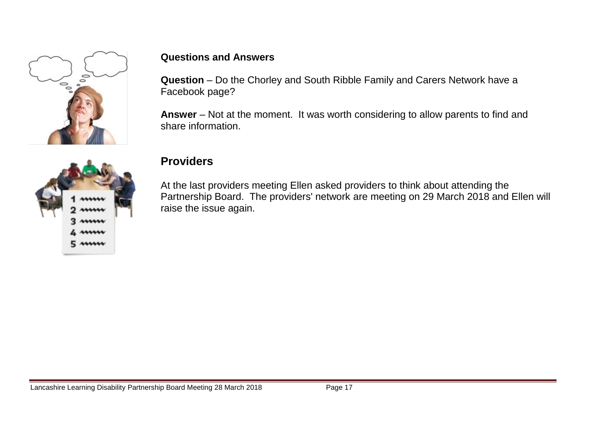

#### **Questions and Answers**

**Question** – Do the Chorley and South Ribble Family and Carers Network have a Facebook page?

**Answer** – Not at the moment. It was worth considering to allow parents to find and share information.



#### **Providers**

At the last providers meeting Ellen asked providers to think about attending the Partnership Board. The providers' network are meeting on 29 March 2018 and Ellen will raise the issue again.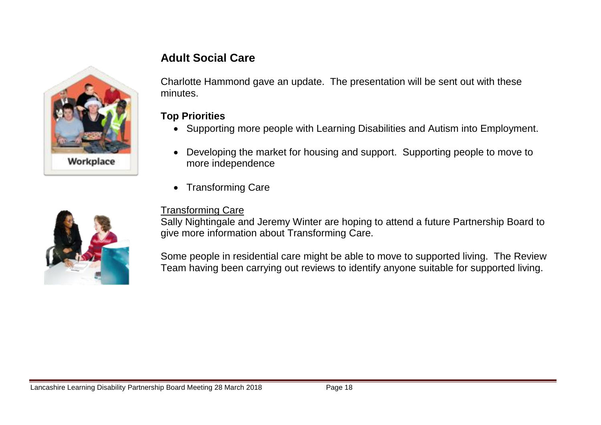

## **Adult Social Care**

Charlotte Hammond gave an update. The presentation will be sent out with these minutes.

#### **Top Priorities**

- Supporting more people with Learning Disabilities and Autism into Employment.
- Developing the market for housing and support. Supporting people to move to more independence
- Transforming Care

#### Transforming Care

Sally Nightingale and Jeremy Winter are hoping to attend a future Partnership Board to give more information about Transforming Care.

Some people in residential care might be able to move to supported living. The Review Team having been carrying out reviews to identify anyone suitable for supported living.

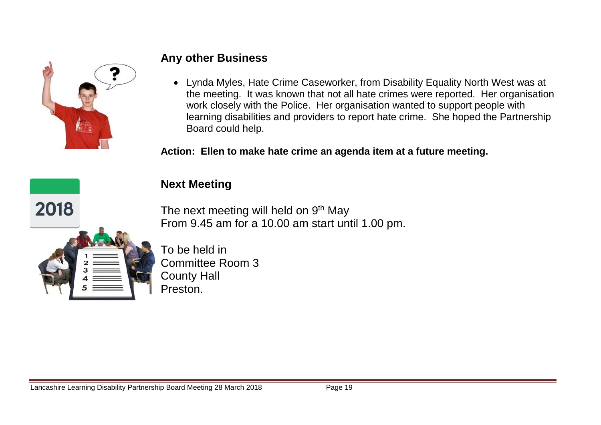

#### **Any other Business**

 Lynda Myles, Hate Crime Caseworker, from Disability Equality North West was at the meeting. It was known that not all hate crimes were reported. Her organisation work closely with the Police. Her organisation wanted to support people with learning disabilities and providers to report hate crime. She hoped the Partnership Board could help.

**Action: Ellen to make hate crime an agenda item at a future meeting.**

## **Next Meeting**

The next meeting will held on  $9<sup>th</sup>$  May From 9.45 am for a 10.00 am start until 1.00 pm.



2018

To be held in Committee Room 3 County Hall Preston.